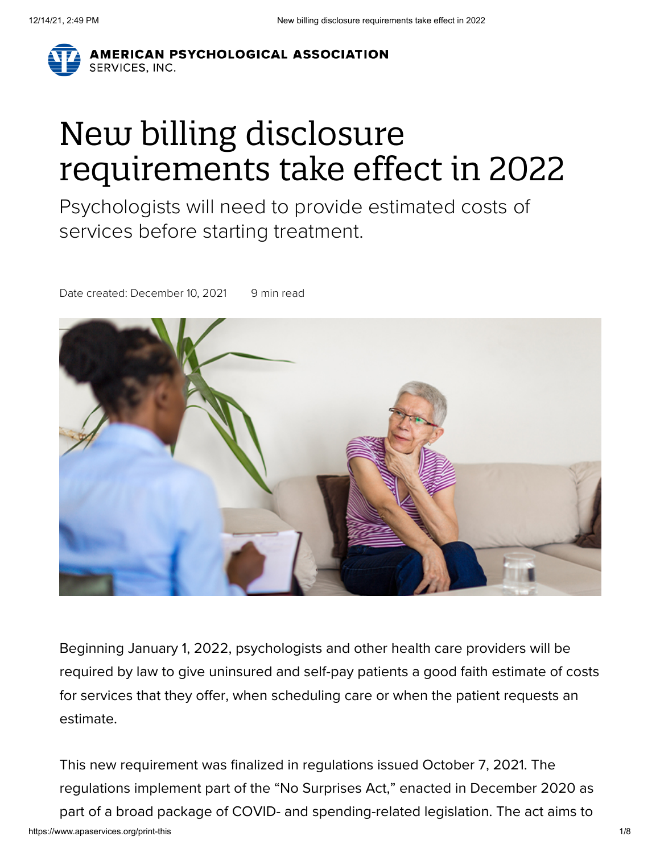

# New billing disclosure requirements take effect in 2022

Psychologists will need to provide estimated costs of services before starting treatment.

Date created: December 10, 2021 9 min read



Beginning January 1, 2022, psychologists and other health care providers will be required by law to give uninsured and self-pay patients a good faith estimate of costs for services that they offer, when scheduling care or when the patient requests an estimate.

https://www.apaservices.org/print-this 1/8 This new requirement was finalized in regulations issued October 7, 2021. The regulations implement part of the "No Surprises Act," enacted in December 2020 as part of a broad package of COVID- and spending-related legislation. The act aims to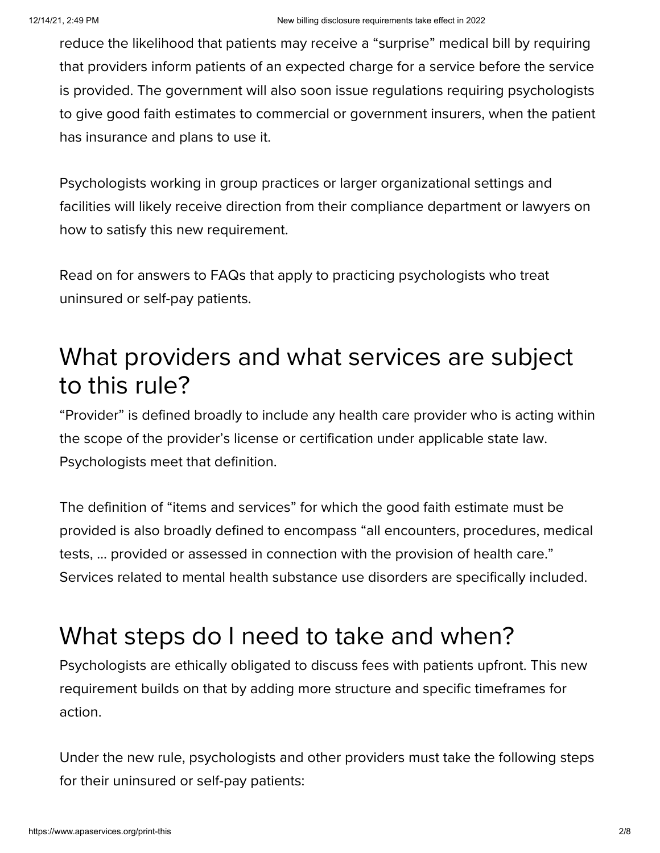reduce the likelihood that patients may receive a "surprise" medical bill by requiring that providers inform patients of an expected charge for a service before the service is provided. The government will also soon issue regulations requiring psychologists to give good faith estimates to commercial or government insurers, when the patient has insurance and plans to use it.

Psychologists working in group practices or larger organizational settings and facilities will likely receive direction from their compliance department or lawyers on how to satisfy this new requirement.

Read on for answers to FAQs that apply to practicing psychologists who treat uninsured or self-pay patients.

#### What providers and what services are subject to this rule?

"Provider" is defined broadly to include any health care provider who is acting within the scope of the provider's license or certification under applicable state law. Psychologists meet that definition.

The definition of "items and services" for which the good faith estimate must be provided is also broadly defined to encompass "all encounters, procedures, medical tests, … provided or assessed in connection with the provision of health care." Services related to mental health substance use disorders are specifically included.

#### What steps do I need to take and when?

Psychologists are ethically obligated to discuss fees with patients upfront. This new requirement builds on that by adding more structure and specific timeframes for action.

Under the new rule, psychologists and other providers must take the following steps for their uninsured or self-pay patients: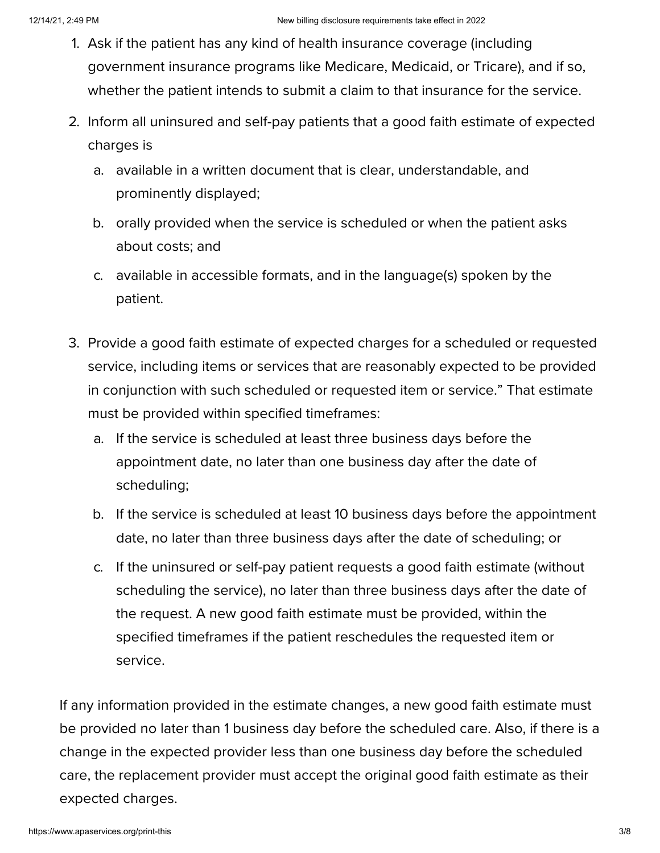- 1. Ask if the patient has any kind of health insurance coverage (including government insurance programs like Medicare, Medicaid, or Tricare), and if so, whether the patient intends to submit a claim to that insurance for the service.
- 2. Inform all uninsured and self-pay patients that a good faith estimate of expected charges is
	- a. available in a written document that is clear, understandable, and prominently displayed;
	- b. orally provided when the service is scheduled or when the patient asks about costs; and
	- c. available in accessible formats, and in the language(s) spoken by the patient.
- 3. Provide a good faith estimate of expected charges for a scheduled or requested service, including items or services that are reasonably expected to be provided in conjunction with such scheduled or requested item or service." That estimate must be provided within specified timeframes:
	- a. If the service is scheduled at least three business days before the appointment date, no later than one business day after the date of scheduling;
	- b. If the service is scheduled at least 10 business days before the appointment date, no later than three business days after the date of scheduling; or
	- c. If the uninsured or self-pay patient requests a good faith estimate (without scheduling the service), no later than three business days after the date of the request. A new good faith estimate must be provided, within the specified timeframes if the patient reschedules the requested item or service.

If any information provided in the estimate changes, a new good faith estimate must be provided no later than 1 business day before the scheduled care. Also, if there is a change in the expected provider less than one business day before the scheduled care, the replacement provider must accept the original good faith estimate as their expected charges.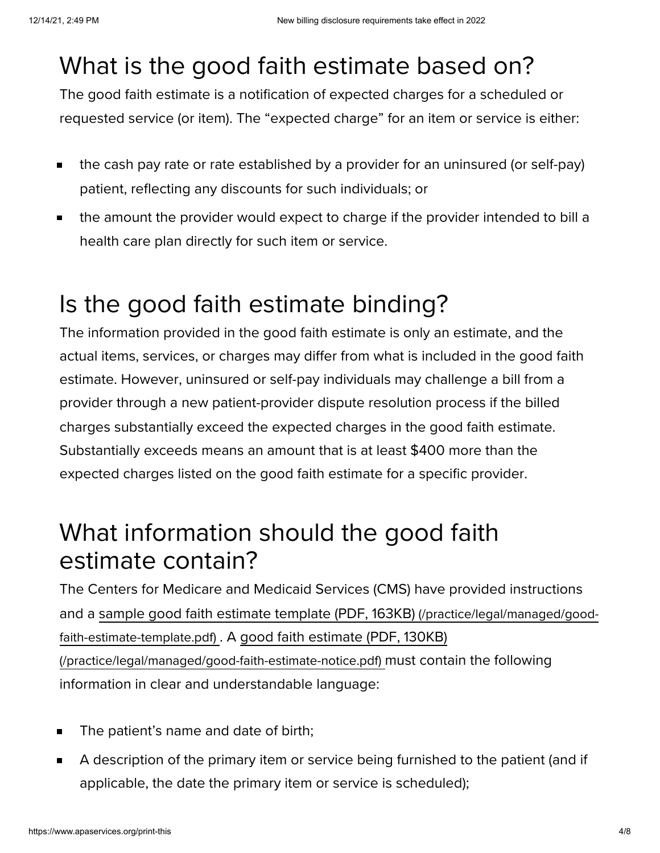### What is the good faith estimate based on?

The good faith estimate is a notification of expected charges for a scheduled or requested service (or item). The "expected charge" for an item or service is either:

- the cash pay rate or rate established by a provider for an uninsured (or self-pay) Ē. patient, reflecting any discounts for such individuals; or
- the amount the provider would expect to charge if the provider intended to bill a  $\blacksquare$ health care plan directly for such item or service.

## Is the good faith estimate binding?

The information provided in the good faith estimate is only an estimate, and the actual items, services, or charges may differ from what is included in the good faith estimate. However, uninsured or self-pay individuals may challenge a bill from a provider through a new patient-provider dispute resolution process if the billed charges substantially exceed the expected charges in the good faith estimate. Substantially exceeds means an amount that is at least \$400 more than the expected charges listed on the good faith estimate for a specific provider.

#### What information should the good faith estimate contain?

The Centers for Medicare and Medicaid Services (CMS) have provided instructions and a sample good faith estimate template (PDF, 163KB) [\(/practice/legal/managed/good](https://www.apaservices.org/practice/legal/managed/good-faith-estimate-template.pdf)faith-estimate-template.pdf) . A good faith estimate (PDF, 130KB) [\(/practice/legal/managed/good-faith-estimate-notice.pdf\)](https://www.apaservices.org/practice/legal/managed/good-faith-estimate-notice.pdf) must contain the following information in clear and understandable language:

- The patient's name and date of birth;  $\blacksquare$
- A description of the primary item or service being furnished to the patient (and if  $\blacksquare$ applicable, the date the primary item or service is scheduled);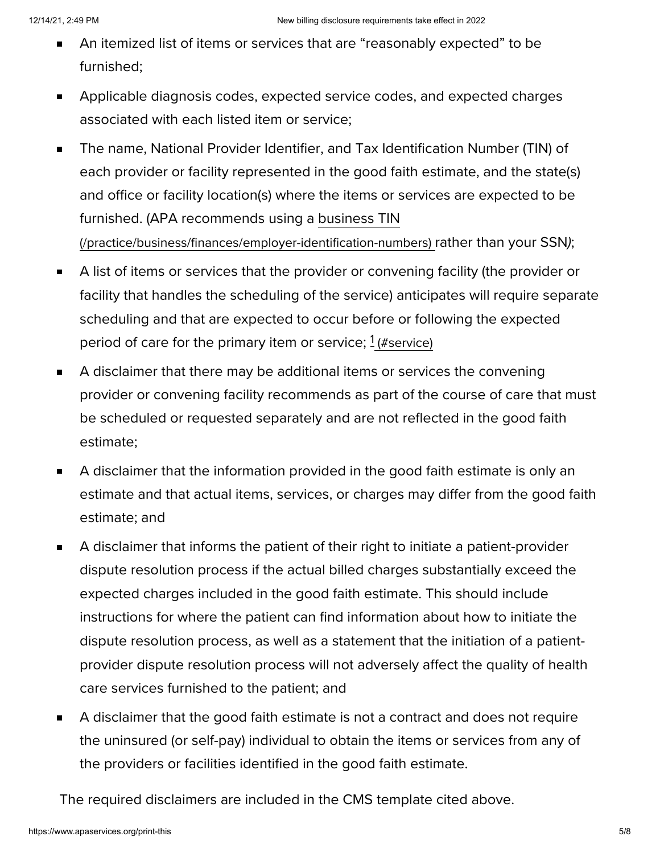- An itemized list of items or services that are "reasonably expected" to be  $\blacksquare$ furnished;
- Applicable diagnosis codes, expected service codes, and expected charges  $\blacksquare$ associated with each listed item or service;
- The name, National Provider Identifier, and Tax Identification Number (TIN) of  $\blacksquare$ each provider or facility represented in the good faith estimate, and the state(s) and office or facility location(s) where the items or services are expected to be furnished. (APA recommends using a business TIN [\(/practice/business/finances/employer-identification-numbers\)](https://www.apaservices.org/practice/business/finances/employer-identification-numbers) rather than your SSN);
- A list of items or services that the provider or convening facility (the provider or  $\blacksquare$ facility that handles the scheduling of the service) anticipates will require separate scheduling and that are expected to occur before or following the expected period of care for the primary item or service;  $1$  [\(#service\)](#page-5-0)
- A disclaimer that there may be additional items or services the convening  $\blacksquare$ provider or convening facility recommends as part of the course of care that must be scheduled or requested separately and are not reflected in the good faith estimate;
- A disclaimer that the information provided in the good faith estimate is only an  $\blacksquare$ estimate and that actual items, services, or charges may differ from the good faith estimate; and
- A disclaimer that informs the patient of their right to initiate a patient-provider  $\blacksquare$ dispute resolution process if the actual billed charges substantially exceed the expected charges included in the good faith estimate. This should include instructions for where the patient can find information about how to initiate the dispute resolution process, as well as a statement that the initiation of a patientprovider dispute resolution process will not adversely affect the quality of health care services furnished to the patient; and
- A disclaimer that the good faith estimate is not a contract and does not require  $\blacksquare$ the uninsured (or self-pay) individual to obtain the items or services from any of the providers or facilities identified in the good faith estimate.

The required disclaimers are included in the CMS template cited above.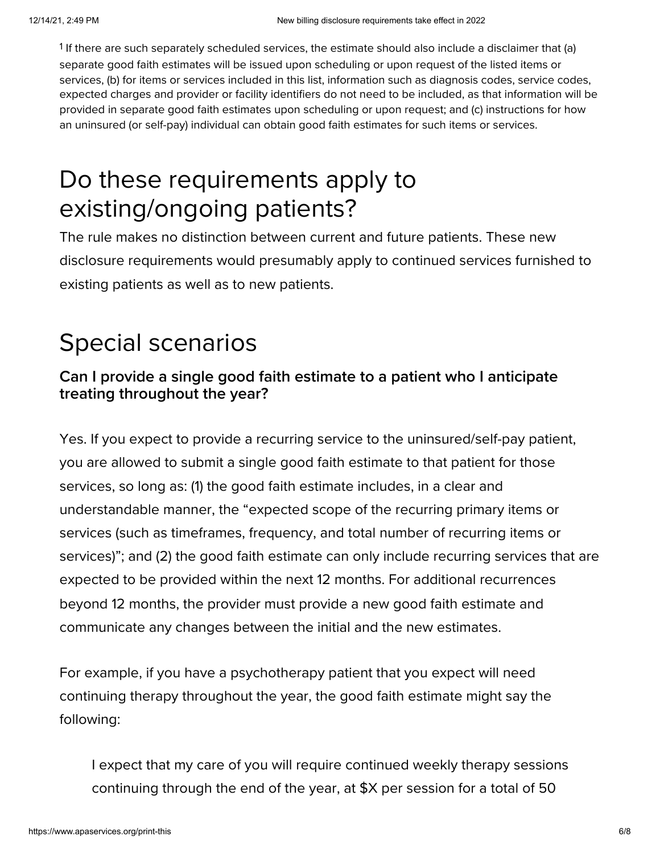<span id="page-5-0"></span><sup>1</sup> If there are such separately scheduled services, the estimate should also include a disclaimer that (a) separate good faith estimates will be issued upon scheduling or upon request of the listed items or services, (b) for items or services included in this list, information such as diagnosis codes, service codes, expected charges and provider or facility identifiers do not need to be included, as that information will be provided in separate good faith estimates upon scheduling or upon request; and (c) instructions for how an uninsured (or self-pay) individual can obtain good faith estimates for such items or services.

### Do these requirements apply to existing/ongoing patients?

The rule makes no distinction between current and future patients. These new disclosure requirements would presumably apply to continued services furnished to existing patients as well as to new patients.

## Special scenarios

#### **Can I provide a single good faith estimate to a patient who I anticipate treating throughout the year?**

Yes. If you expect to provide a recurring service to the uninsured/self-pay patient, you are allowed to submit a single good faith estimate to that patient for those services, so long as: (1) the good faith estimate includes, in a clear and understandable manner, the "expected scope of the recurring primary items or services (such as timeframes, frequency, and total number of recurring items or services)"; and (2) the good faith estimate can only include recurring services that are expected to be provided within the next 12 months. For additional recurrences beyond 12 months, the provider must provide a new good faith estimate and communicate any changes between the initial and the new estimates.

For example, if you have a psychotherapy patient that you expect will need continuing therapy throughout the year, the good faith estimate might say the following:

I expect that my care of you will require continued weekly therapy sessions continuing through the end of the year, at \$X per session for a total of 50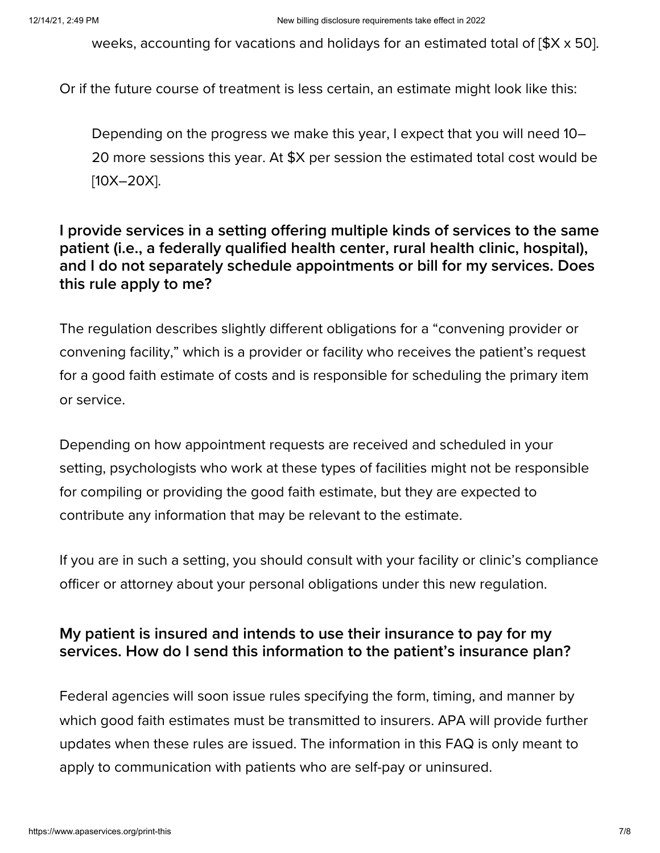weeks, accounting for vacations and holidays for an estimated total of [\$X x 50].

Or if the future course of treatment is less certain, an estimate might look like this:

Depending on the progress we make this year, I expect that you will need 10– 20 more sessions this year. At \$X per session the estimated total cost would be [10X-20X].

#### **I provide services in a setting offering multiple kinds of services to the same patient (i.e., a federally qualified health center, rural health clinic, hospital), and I do not separately schedule appointments or bill for my services. Does this rule apply to me?**

The regulation describes slightly different obligations for a "convening provider or convening facility," which is a provider or facility who receives the patient's request for a good faith estimate of costs and is responsible for scheduling the primary item or service.

Depending on how appointment requests are received and scheduled in your setting, psychologists who work at these types of facilities might not be responsible for compiling or providing the good faith estimate, but they are expected to contribute any information that may be relevant to the estimate.

If you are in such a setting, you should consult with your facility or clinic's compliance officer or attorney about your personal obligations under this new regulation.

#### **My patient is insured and intends to use their insurance to pay for my services. How do I send this information to the patient's insurance plan?**

Federal agencies will soon issue rules specifying the form, timing, and manner by which good faith estimates must be transmitted to insurers. APA will provide further updates when these rules are issued. The information in this FAQ is only meant to apply to communication with patients who are self-pay or uninsured.